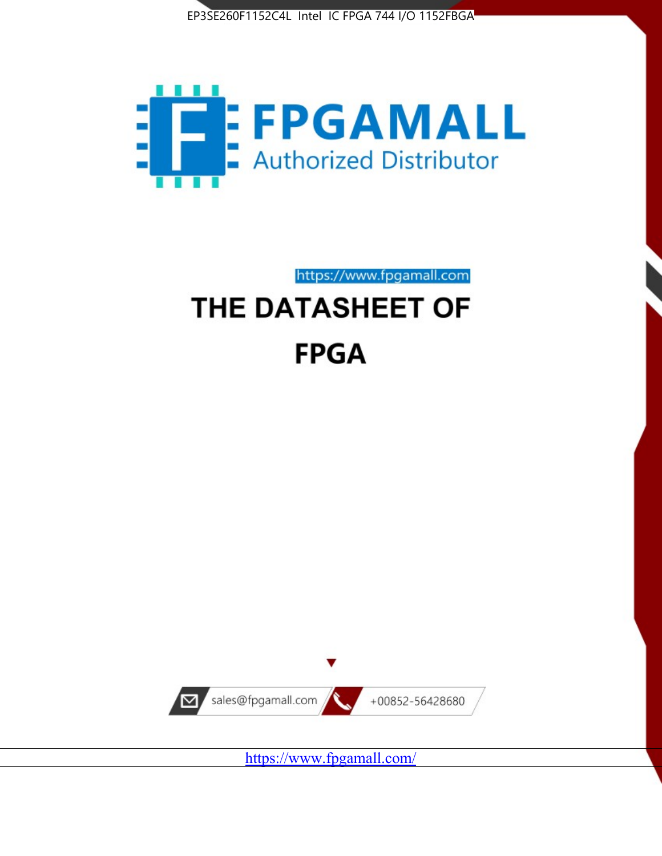



https://www.fpgamall.com

# THE DATASHEET OF **FPGA**



<https://www.fpgamall.com/>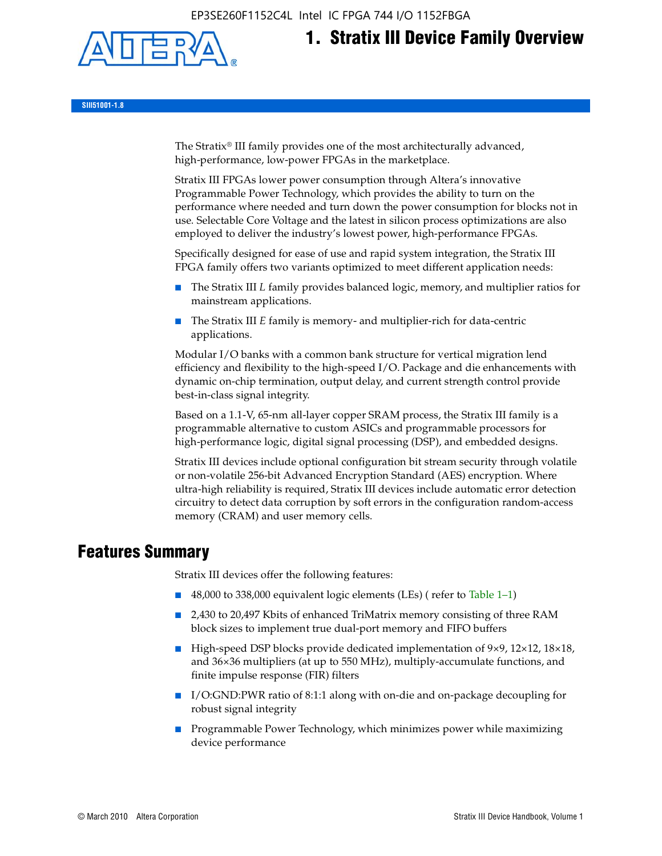EP3SE260F1152C4L Intel IC FPGA 744 I/O 1152FBGA



# **1. Stratix III Device Family Overview**

**SIII51001-1.8**

The Stratix® III family provides one of the most architecturally advanced, high-performance, low-power FPGAs in the marketplace.

Stratix III FPGAs lower power consumption through Altera's innovative Programmable Power Technology, which provides the ability to turn on the performance where needed and turn down the power consumption for blocks not in use. Selectable Core Voltage and the latest in silicon process optimizations are also employed to deliver the industry's lowest power, high-performance FPGAs.

Specifically designed for ease of use and rapid system integration, the Stratix III FPGA family offers two variants optimized to meet different application needs:

- The Stratix III *L* family provides balanced logic, memory, and multiplier ratios for mainstream applications.
- The Stratix III *E* family is memory- and multiplier-rich for data-centric applications.

Modular I/O banks with a common bank structure for vertical migration lend efficiency and flexibility to the high-speed I/O. Package and die enhancements with dynamic on-chip termination, output delay, and current strength control provide best-in-class signal integrity.

Based on a 1.1-V, 65-nm all-layer copper SRAM process, the Stratix III family is a programmable alternative to custom ASICs and programmable processors for high-performance logic, digital signal processing (DSP), and embedded designs.

Stratix III devices include optional configuration bit stream security through volatile or non-volatile 256-bit Advanced Encryption Standard (AES) encryption. Where ultra-high reliability is required, Stratix III devices include automatic error detection circuitry to detect data corruption by soft errors in the configuration random-access memory (CRAM) and user memory cells.

# **Features Summary**

Stratix III devices offer the following features:

- 48,000 to 338,000 equivalent logic elements (LEs) (refer to Table 1–1)
- 2,430 to 20,497 Kbits of enhanced TriMatrix memory consisting of three RAM block sizes to implement true dual-port memory and FIFO buffers
- High-speed DSP blocks provide dedicated implementation of 9×9, 12×12, 18×18, and 36×36 multipliers (at up to 550 MHz), multiply-accumulate functions, and finite impulse response (FIR) filters
- I/O:GND:PWR ratio of 8:1:1 along with on-die and on-package decoupling for robust signal integrity
- Programmable Power Technology, which minimizes power while maximizing device performance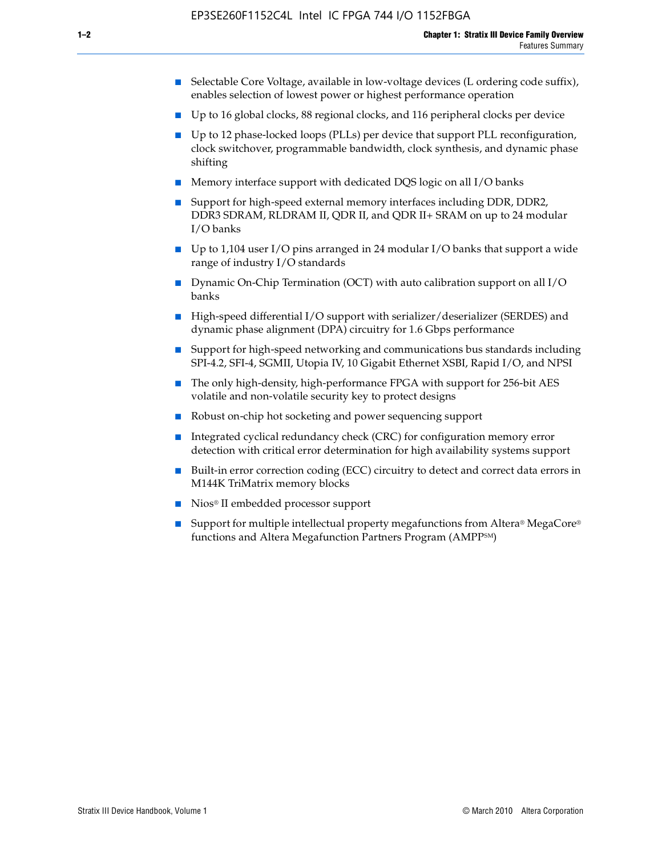- Selectable Core Voltage, available in low-voltage devices (L ordering code suffix), enables selection of lowest power or highest performance operation
- Up to 16 global clocks, 88 regional clocks, and 116 peripheral clocks per device
- Up to 12 phase-locked loops (PLLs) per device that support PLL reconfiguration, clock switchover, programmable bandwidth, clock synthesis, and dynamic phase shifting
- Memory interface support with dedicated DQS logic on all I/O banks
- Support for high-speed external memory interfaces including DDR, DDR2, DDR3 SDRAM, RLDRAM II, QDR II, and QDR II+ SRAM on up to 24 modular I/O banks
- Up to 1,104 user I/O pins arranged in 24 modular I/O banks that support a wide range of industry I/O standards
- Dynamic On-Chip Termination (OCT) with auto calibration support on all  $I/O$ banks
- High-speed differential I/O support with serializer/deserializer (SERDES) and dynamic phase alignment (DPA) circuitry for 1.6 Gbps performance
- Support for high-speed networking and communications bus standards including SPI-4.2, SFI-4, SGMII, Utopia IV, 10 Gigabit Ethernet XSBI, Rapid I/O, and NPSI
- The only high-density, high-performance FPGA with support for 256-bit AES volatile and non-volatile security key to protect designs
- Robust on-chip hot socketing and power sequencing support
- Integrated cyclical redundancy check (CRC) for configuration memory error detection with critical error determination for high availability systems support
- Built-in error correction coding (ECC) circuitry to detect and correct data errors in M144K TriMatrix memory blocks
- Nios<sup>®</sup> II embedded processor support
- Support for multiple intellectual property megafunctions from Altera® MegaCore® functions and Altera Megafunction Partners Program (AMPPSM)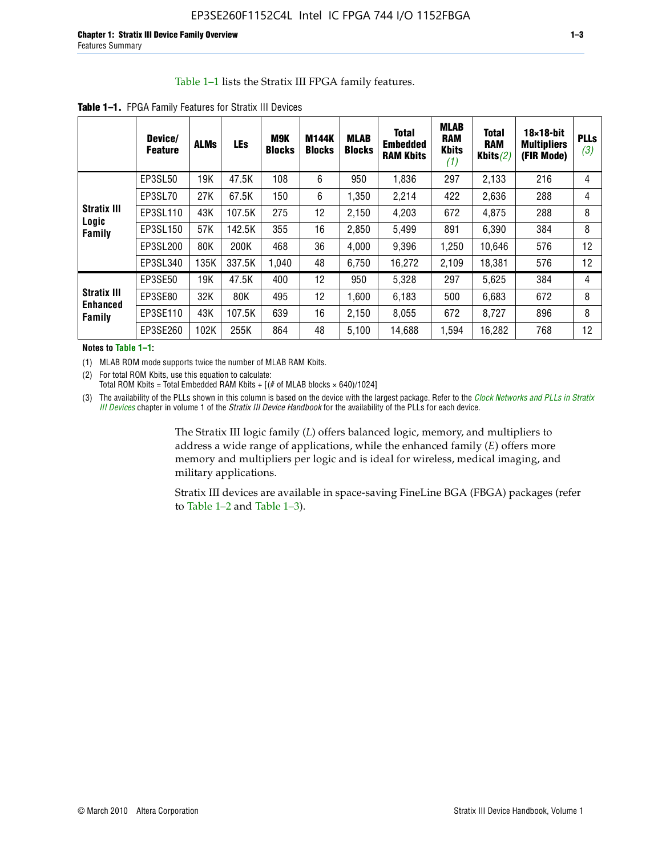#### Table 1–1 lists the Stratix III FPGA family features.

|                                          | Device/<br><b>Feature</b> | <b>ALMs</b> | <b>LEs</b> | <b>M9K</b><br><b>Blocks</b> | M144K<br><b>Blocks</b> | <b>MLAB</b><br><b>Blocks</b> | <b>Total</b><br><b>Embedded</b><br><b>RAM Kbits</b> | <b>MLAB</b><br><b>RAM</b><br><b>Kbits</b><br>(1) | <b>Total</b><br><b>RAM</b><br>Kbits $(2)$ | $18\times18$ -bit<br><b>Multipliers</b><br>(FIR Mode) | <b>PLLs</b><br>(3) |
|------------------------------------------|---------------------------|-------------|------------|-----------------------------|------------------------|------------------------------|-----------------------------------------------------|--------------------------------------------------|-------------------------------------------|-------------------------------------------------------|--------------------|
|                                          | EP3SL50                   | 19K         | 47.5K      | 108                         | 6                      | 950                          | 1,836                                               | 297                                              | 2,133                                     | 216                                                   | 4                  |
|                                          | EP3SL70                   | 27K         | 67.5K      | 150                         | 6                      | 1,350                        | 2,214                                               | 422                                              | 2,636                                     | 288                                                   | 4                  |
| <b>Stratix III</b>                       | EP3SL110                  | 43K         | 107.5K     | 275                         | 12                     | 2,150                        | 4,203                                               | 672                                              | 4,875                                     | 288                                                   | 8                  |
| Logic<br>Family                          | EP3SL150                  | 57K         | 142.5K     | 355                         | 16                     | 2,850                        | 5,499                                               | 891                                              | 6,390                                     | 384                                                   | 8                  |
|                                          | EP3SL200                  | 80K         | 200K       | 468                         | 36                     | 4,000                        | 9,396                                               | 1,250                                            | 10,646                                    | 576                                                   | 12                 |
|                                          | EP3SL340                  | 135K        | 337.5K     | 1,040                       | 48                     | 6,750                        | 16,272                                              | 2,109                                            | 18,381                                    | 576                                                   | 12                 |
|                                          | EP3SE50                   | 19K         | 47.5K      | 400                         | 12                     | 950                          | 5,328                                               | 297                                              | 5,625                                     | 384                                                   | 4                  |
| <b>Stratix III</b><br>Enhanced<br>Family | EP3SE80                   | 32K         | 80K        | 495                         | 12                     | 1,600                        | 6,183                                               | 500                                              | 6,683                                     | 672                                                   | 8                  |
|                                          | EP3SE110                  | 43K         | 107.5K     | 639                         | 16                     | 2,150                        | 8.055                                               | 672                                              | 8,727                                     | 896                                                   | 8                  |
|                                          | EP3SE260                  | 102K        | 255K       | 864                         | 48                     | 5,100                        | 14,688                                              | 1,594                                            | 16,282                                    | 768                                                   | 12                 |

**Table 1–1.** FPGA Family Features for Stratix III Devices

**Notes to Table 1–1:**

(1) MLAB ROM mode supports twice the number of MLAB RAM Kbits.

(2) For total ROM Kbits, use this equation to calculate: Total ROM Kbits = Total Embedded RAM Kbits +  $[(# of MLAB blocks × 640)/1024]$ 

(3) The availability of the PLLs shown in this column is based on the device with the largest package. Refer to the *[Clock Networks and PLLs in Stratix](http://www.altera.com/literature/hb/stx3/stx3_siii51006.pdf)  [III Devices](http://www.altera.com/literature/hb/stx3/stx3_siii51006.pdf)* chapter in volume 1 of the *Stratix III Device Handbook* for the availability of the PLLs for each device.

> The Stratix III logic family (*L*) offers balanced logic, memory, and multipliers to address a wide range of applications, while the enhanced family (*E*) offers more memory and multipliers per logic and is ideal for wireless, medical imaging, and military applications.

Stratix III devices are available in space-saving FineLine BGA (FBGA) packages (refer to Table 1–2 and Table 1–3).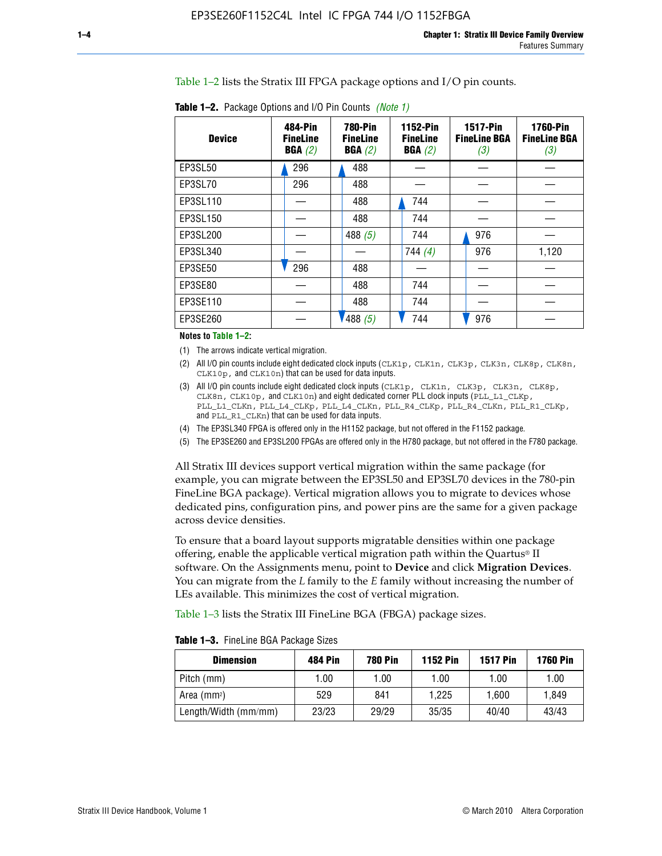Table 1–2 lists the Stratix III FPGA package options and I/O pin counts.

| <b>Device</b> | 484-Pin<br><b>FineLine</b><br>BGA(2) | <b>780-Pin</b><br><b>FineLine</b><br>BGA(2) | <b>1152-Pin</b><br><b>FineLine</b><br>BGA(2) | <b>1517-Pin</b><br><b>FineLine BGA</b><br>(3) | <b>1760-Pin</b><br><b>FineLine BGA</b><br>(3) |
|---------------|--------------------------------------|---------------------------------------------|----------------------------------------------|-----------------------------------------------|-----------------------------------------------|
| EP3SL50       | 296                                  | 488                                         |                                              |                                               |                                               |
| EP3SL70       | 296                                  | 488                                         |                                              |                                               |                                               |
| EP3SL110      |                                      | 488                                         | 744                                          |                                               |                                               |
| EP3SL150      |                                      | 488                                         | 744                                          |                                               |                                               |
| EP3SL200      |                                      | 488 $(5)$                                   | 744                                          | 976                                           |                                               |
| EP3SL340      |                                      |                                             | 744(4)                                       | 976                                           | 1,120                                         |
| EP3SE50       | 296                                  | 488                                         |                                              |                                               |                                               |
| EP3SE80       |                                      | 488                                         | 744                                          |                                               |                                               |
| EP3SE110      |                                      | 488                                         | 744                                          |                                               |                                               |
| EP3SE260      |                                      | '488(5)                                     | 744                                          | 976                                           |                                               |

**Table 1–2.** Package Options and I/O Pin Counts *(Note 1)*

**Notes to Table 1–2:**

(1) The arrows indicate vertical migration.

- (2) All I/O pin counts include eight dedicated clock inputs (CLK1p, CLK1n, CLK3p, CLK3n, CLK8p, CLK8n, CLK10p, and CLK10n) that can be used for data inputs.
- (3) All I/O pin counts include eight dedicated clock inputs (CLK1p, CLK1n, CLK3p, CLK3n, CLK8p, CLK8n, CLK10p, and CLK10n) and eight dedicated corner PLL clock inputs (PLL\_L1\_CLKp, PLL\_L1\_CLKn, PLL\_L4\_CLKp, PLL\_L4\_CLKn, PLL\_R4\_CLKp, PLL\_R4\_CLKn, PLL\_R1\_CLKp, and PLL\_R1\_CLKn) that can be used for data inputs.
- (4) The EP3SL340 FPGA is offered only in the H1152 package, but not offered in the F1152 package.
- (5) The EP3SE260 and EP3SL200 FPGAs are offered only in the H780 package, but not offered in the F780 package.

All Stratix III devices support vertical migration within the same package (for example, you can migrate between the EP3SL50 and EP3SL70 devices in the 780-pin FineLine BGA package). Vertical migration allows you to migrate to devices whose dedicated pins, configuration pins, and power pins are the same for a given package across device densities.

To ensure that a board layout supports migratable densities within one package offering, enable the applicable vertical migration path within the Quartus® II software. On the Assignments menu, point to **Device** and click **Migration Devices**. You can migrate from the *L* family to the *E* family without increasing the number of LEs available. This minimizes the cost of vertical migration.

Table 1–3 lists the Stratix III FineLine BGA (FBGA) package sizes.

**Table 1–3.** FineLine BGA Package Sizes

| <b>Dimension</b>     | <b>484 Pin</b> | <b>780 Pin</b> | <b>1152 Pin</b> | <b>1517 Pin</b> | <b>1760 Pin</b> |
|----------------------|----------------|----------------|-----------------|-----------------|-----------------|
| Pitch (mm)           | 1.00           | 1.00           | 1.00            | 1.00            | 1.00            |
| Area $(mm2)$         | 529            | 841            | 1.225           | 1.600           | 1.849           |
| Length/Width (mm/mm) | 23/23          | 29/29          | 35/35           | 40/40           | 43/43           |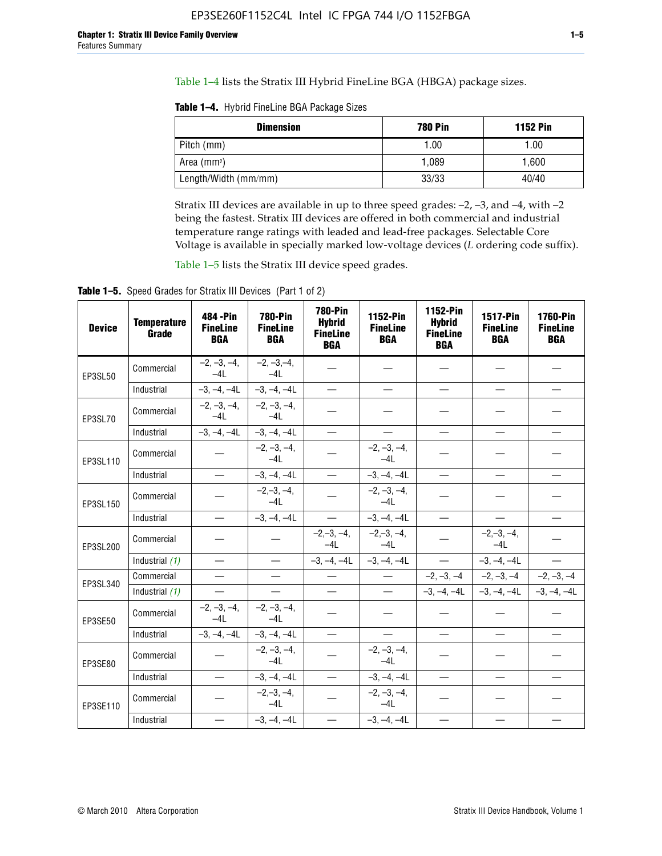Table 1–4 lists the Stratix III Hybrid FineLine BGA (HBGA) package sizes.

**Table 1–4.** Hybrid FineLine BGA Package Sizes

| <b>Dimension</b>     | <b>780 Pin</b> | <b>1152 Pin</b> |
|----------------------|----------------|-----------------|
| Pitch (mm)           | 1.00           | 1.00            |
| Area $(mm^2)$        | 1.089          | 1.600           |
| Length/Width (mm/mm) | 33/33          | 40/40           |

Stratix III devices are available in up to three speed grades: –2, –3, and –4, with –2 being the fastest. Stratix III devices are offered in both commercial and industrial temperature range ratings with leaded and lead-free packages. Selectable Core Voltage is available in specially marked low-voltage devices (*L* ordering code suffix).

Table 1–5 lists the Stratix III device speed grades.

Table 1-5. Speed Grades for Stratix III Devices (Part 1 of 2)

| <b>Device</b> | <b>Temperature</b><br>Grade | 484 - Pin<br><b>FineLine</b><br><b>BGA</b> | <b>780-Pin</b><br><b>FineLine</b><br><b>BGA</b> | <b>780-Pin</b><br><b>Hybrid</b><br><b>FineLine</b><br><b>BGA</b> | 1152-Pin<br><b>FineLine</b><br><b>BGA</b> | 1152-Pin<br><b>Hybrid</b><br><b>FineLine</b><br><b>BGA</b> | 1517-Pin<br><b>FineLine</b><br><b>BGA</b> | <b>1760-Pin</b><br><b>FineLine</b><br><b>BGA</b> |
|---------------|-----------------------------|--------------------------------------------|-------------------------------------------------|------------------------------------------------------------------|-------------------------------------------|------------------------------------------------------------|-------------------------------------------|--------------------------------------------------|
| EP3SL50       | Commercial                  | $-2, -3, -4,$<br>$-4L$                     | $-2, -3, -4,$<br>$-4L$                          |                                                                  |                                           |                                                            |                                           |                                                  |
|               | Industrial                  | $-3, -4, -4L$                              | $-3, -4, -4L$                                   | $\overline{\phantom{0}}$                                         | $\equiv$                                  | $\equiv$                                                   | $\equiv$                                  | $\equiv$                                         |
| EP3SL70       | Commercial                  | $-2, -3, -4,$<br>$-41$                     | $-2, -3, -4,$<br>$-41$                          |                                                                  |                                           |                                                            |                                           |                                                  |
|               | Industrial                  | $-3, -4, -4L$                              | $-3, -4, -4L$                                   | $\equiv$                                                         | $\overline{\phantom{0}}$                  | $\overline{\phantom{0}}$                                   | $\overline{\phantom{0}}$                  | $\overline{\phantom{0}}$                         |
| EP3SL110      | Commercial                  |                                            | $-2, -3, -4,$<br>$-4L$                          |                                                                  | $-2, -3, -4,$<br>$-4L$                    |                                                            |                                           |                                                  |
|               | Industrial                  | $\overline{\phantom{0}}$                   | $-3, -4, -4L$                                   | $\frac{1}{1}$                                                    | $-3, -4, -4L$                             | $\frac{1}{2}$                                              | $\equiv$                                  | $\overline{\phantom{0}}$                         |
| EP3SL150      | Commercial                  |                                            | $-2, -3, -4,$<br>$-41$                          |                                                                  | $-2, -3, -4,$<br>$-41$                    |                                                            |                                           |                                                  |
|               | Industrial                  |                                            | $-3, -4, -4L$                                   | $\equiv$                                                         | $-3, -4, -4L$                             |                                                            |                                           | $\equiv$                                         |
| EP3SL200      | Commercial                  |                                            |                                                 | $-2, -3, -4,$<br>$-4L$                                           | $-2, -3, -4,$<br>$-4L$                    |                                                            | $-2,-3,-4,$<br>$-4L$                      |                                                  |
|               | Industrial (1)              | $\equiv$                                   | $\equiv$                                        | $-3, -4, -4L$                                                    | $-3, -4, -4L$                             | $\frac{1}{2}$                                              | $-3, -4, -4L$                             | $\overline{\phantom{0}}$                         |
| EP3SL340      | Commercial                  | $\equiv$                                   | $\qquad \qquad$                                 | $\overbrace{\phantom{12322111}}$                                 | $\overline{\phantom{m}}$                  |                                                            | $-2, -3, -4$ $-2, -3, -4$                 | $-2, -3, -4$                                     |
|               | Industrial (1)              | $\overline{\phantom{m}}$                   | $\equiv$                                        | $\equiv$                                                         | $-$                                       |                                                            | $-3, -4, -4$ $-4$ $-3, -4, -4$            | $-3, -4, -4L$                                    |
| EP3SE50       | Commercial                  | $-2, -3, -4,$<br>$-4L$                     | $-2, -3, -4,$<br>$-4L$                          |                                                                  |                                           |                                                            |                                           |                                                  |
|               | Industrial                  | $-3, -4, -4L$                              | $-3, -4, -4L$                                   | $\equiv$                                                         | $\overline{\phantom{0}}$                  |                                                            |                                           | $\overline{\phantom{0}}$                         |
| EP3SE80       | Commercial                  |                                            | $-2, -3, -4,$<br>$-41$                          |                                                                  | $-2, -3, -4,$<br>$-41$                    |                                                            |                                           |                                                  |
|               | Industrial                  | $\overline{\phantom{m}}$                   | $-3, -4, -4L$                                   | $\overbrace{\phantom{1232211}}$                                  | $-3, -4, -4L$                             |                                                            | $\equiv$                                  |                                                  |
| EP3SE110      | Commercial                  |                                            | $-2, -3, -4,$<br>$-4L$                          |                                                                  | $-2, -3, -4,$<br>$-41$                    |                                                            |                                           |                                                  |
|               | Industrial                  |                                            | $-3, -4, -4L$                                   | $\overline{\phantom{0}}$                                         | $-3, -4, -4L$                             |                                                            |                                           |                                                  |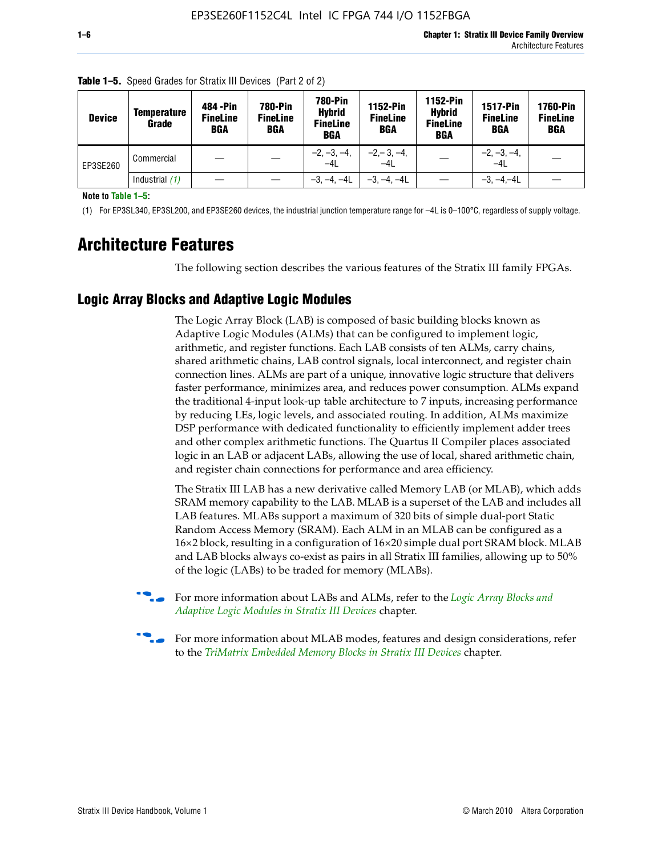| <b>Device</b> | Temperature<br>Grade | 484 - Pin<br><b>FineLine</b><br><b>BGA</b> | <b>780-Pin</b><br><b>FineLine</b><br>BGA | 780-Pin<br><b>Hybrid</b><br><b>FineLine</b><br><b>BGA</b> | 1152-Pin<br><b>FineLine</b><br><b>BGA</b> | <b>1152-Pin</b><br><b>Hybrid</b><br><b>FineLine</b><br><b>BGA</b> | <b>1517-Pin</b><br><b>FineLine</b><br>BGA | <b>1760-Pin</b><br><b>FineLine</b><br>BGA |
|---------------|----------------------|--------------------------------------------|------------------------------------------|-----------------------------------------------------------|-------------------------------------------|-------------------------------------------------------------------|-------------------------------------------|-------------------------------------------|
| EP3SE260      | Commercial           |                                            |                                          | $-2, -3, -4,$<br>$-4L$                                    | $-2, -3, -4,$<br>$-4L$                    |                                                                   | $-2, -3, -4,$<br>$-4L$                    |                                           |
|               | Industrial $(1)$     |                                            |                                          | $-3, -4, -4L$                                             | $-3, -4, -4L$                             |                                                                   | $-3. -4 -4L$                              |                                           |

**Table 1–5.** Speed Grades for Stratix III Devices (Part 2 of 2)

**Note to Table 1–5:**

(1) For EP3SL340, EP3SL200, and EP3SE260 devices, the industrial junction temperature range for –4L is 0–100°C, regardless of supply voltage.

# **Architecture Features**

The following section describes the various features of the Stratix III family FPGAs.

## **Logic Array Blocks and Adaptive Logic Modules**

The Logic Array Block (LAB) is composed of basic building blocks known as Adaptive Logic Modules (ALMs) that can be configured to implement logic, arithmetic, and register functions. Each LAB consists of ten ALMs, carry chains, shared arithmetic chains, LAB control signals, local interconnect, and register chain connection lines. ALMs are part of a unique, innovative logic structure that delivers faster performance, minimizes area, and reduces power consumption. ALMs expand the traditional 4-input look-up table architecture to 7 inputs, increasing performance by reducing LEs, logic levels, and associated routing. In addition, ALMs maximize DSP performance with dedicated functionality to efficiently implement adder trees and other complex arithmetic functions. The Quartus II Compiler places associated logic in an LAB or adjacent LABs, allowing the use of local, shared arithmetic chain, and register chain connections for performance and area efficiency.

The Stratix III LAB has a new derivative called Memory LAB (or MLAB), which adds SRAM memory capability to the LAB. MLAB is a superset of the LAB and includes all LAB features. MLABs support a maximum of 320 bits of simple dual-port Static Random Access Memory (SRAM). Each ALM in an MLAB can be configured as a 16×2 block, resulting in a configuration of 16×20 simple dual port SRAM block. MLAB and LAB blocks always co-exist as pairs in all Stratix III families, allowing up to 50% of the logic (LABs) to be traded for memory (MLABs).



f For more information about LABs and ALMs, refer to the *[Logic Array Blocks and](http://www.altera.com/literature/hb/stx3/stx3_siii51002.pdf)  [Adaptive Logic Modules in Stratix III Devices](http://www.altera.com/literature/hb/stx3/stx3_siii51002.pdf)* chapter.



For more information about MLAB modes, features and design considerations, refer to the *[TriMatrix Embedded Memory Blocks in Stratix III Devices](http://www.altera.com/literature/hb/stx3/stx3_siii51004.pdf)* chapter.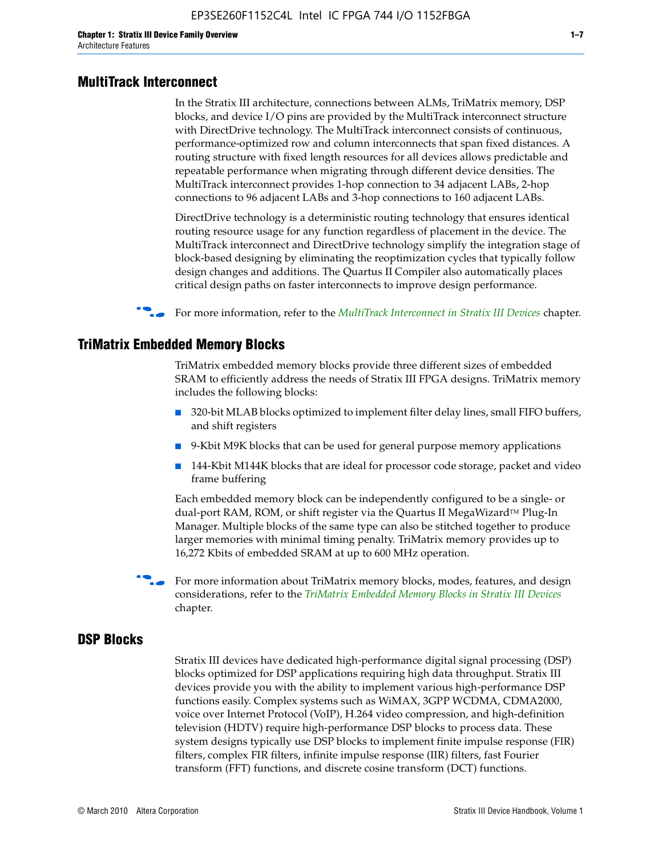#### **MultiTrack Interconnect**

In the Stratix III architecture, connections between ALMs, TriMatrix memory, DSP blocks, and device I/O pins are provided by the MultiTrack interconnect structure with DirectDrive technology. The MultiTrack interconnect consists of continuous, performance-optimized row and column interconnects that span fixed distances. A routing structure with fixed length resources for all devices allows predictable and repeatable performance when migrating through different device densities. The MultiTrack interconnect provides 1-hop connection to 34 adjacent LABs, 2-hop connections to 96 adjacent LABs and 3-hop connections to 160 adjacent LABs.

DirectDrive technology is a deterministic routing technology that ensures identical routing resource usage for any function regardless of placement in the device. The MultiTrack interconnect and DirectDrive technology simplify the integration stage of block-based designing by eliminating the reoptimization cycles that typically follow design changes and additions. The Quartus II Compiler also automatically places critical design paths on faster interconnects to improve design performance.

#### f For more information, refer to the *[MultiTrack Interconnect in Stratix III Devices](http://www.altera.com/literature/hb/stx3/stx3_siii51003.pdf)* chapter.

#### **TriMatrix Embedded Memory Blocks**

TriMatrix embedded memory blocks provide three different sizes of embedded SRAM to efficiently address the needs of Stratix III FPGA designs. TriMatrix memory includes the following blocks:

- 320-bit MLAB blocks optimized to implement filter delay lines, small FIFO buffers, and shift registers
- 9-Kbit M9K blocks that can be used for general purpose memory applications
- 144-Kbit M144K blocks that are ideal for processor code storage, packet and video frame buffering

Each embedded memory block can be independently configured to be a single- or dual-port RAM, ROM, or shift register via the Quartus II MegaWizard™ Plug-In Manager. Multiple blocks of the same type can also be stitched together to produce larger memories with minimal timing penalty. TriMatrix memory provides up to 16,272 Kbits of embedded SRAM at up to 600 MHz operation.

For more information about TriMatrix memory blocks, modes, features, and design considerations, refer to the *[TriMatrix Embedded Memory Blocks in Stratix III Devices](http://www.altera.com/literature/hb/stx3/stx3_siii51004.pdf)* chapter.

#### **DSP Blocks**

Stratix III devices have dedicated high-performance digital signal processing (DSP) blocks optimized for DSP applications requiring high data throughput. Stratix III devices provide you with the ability to implement various high-performance DSP functions easily. Complex systems such as WiMAX, 3GPP WCDMA, CDMA2000, voice over Internet Protocol (VoIP), H.264 video compression, and high-definition television (HDTV) require high-performance DSP blocks to process data. These system designs typically use DSP blocks to implement finite impulse response (FIR) filters, complex FIR filters, infinite impulse response (IIR) filters, fast Fourier transform (FFT) functions, and discrete cosine transform (DCT) functions.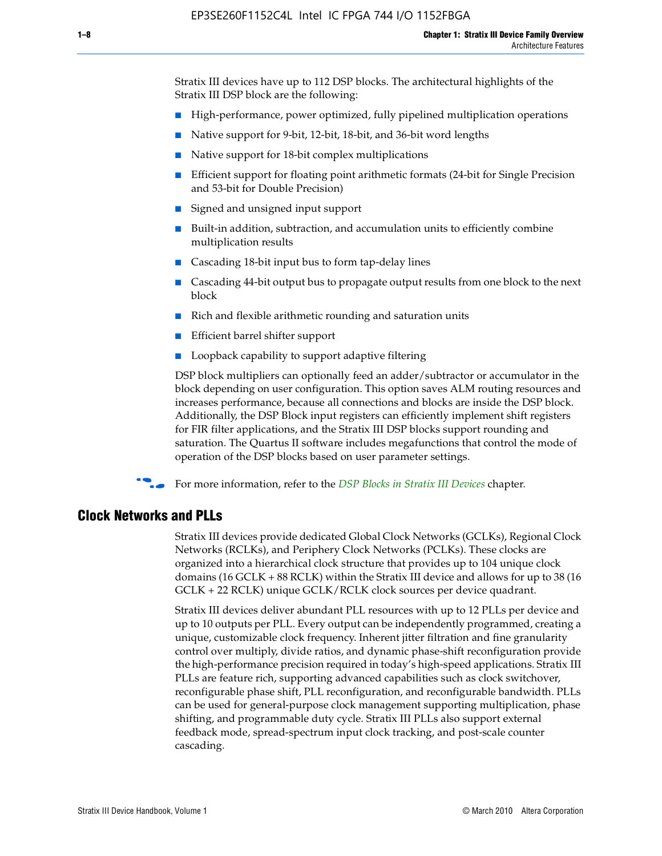Stratix III devices have up to 112 DSP blocks. The architectural highlights of the Stratix III DSP block are the following:

- High-performance, power optimized, fully pipelined multiplication operations
- Native support for 9-bit, 12-bit, 18-bit, and 36-bit word lengths
- Native support for 18-bit complex multiplications
- Efficient support for floating point arithmetic formats (24-bit for Single Precision and 53-bit for Double Precision)
- Signed and unsigned input support
- Built-in addition, subtraction, and accumulation units to efficiently combine multiplication results
- Cascading 18-bit input bus to form tap-delay lines
- Cascading 44-bit output bus to propagate output results from one block to the next block
- Rich and flexible arithmetic rounding and saturation units
- Efficient barrel shifter support
- Loopback capability to support adaptive filtering

DSP block multipliers can optionally feed an adder/subtractor or accumulator in the block depending on user configuration. This option saves ALM routing resources and increases performance, because all connections and blocks are inside the DSP block. Additionally, the DSP Block input registers can efficiently implement shift registers for FIR filter applications, and the Stratix III DSP blocks support rounding and saturation. The Quartus II software includes megafunctions that control the mode of operation of the DSP blocks based on user parameter settings.

f For more information, refer to the *[DSP Blocks in Stratix III Devices](http://www.altera.com/literature/hb/stx3/stx3_siii51005.pdf)* chapter.

#### **Clock Networks and PLLs**

Stratix III devices provide dedicated Global Clock Networks (GCLKs), Regional Clock Networks (RCLKs), and Periphery Clock Networks (PCLKs). These clocks are organized into a hierarchical clock structure that provides up to 104 unique clock domains (16 GCLK + 88 RCLK) within the Stratix III device and allows for up to 38 (16 GCLK + 22 RCLK) unique GCLK/RCLK clock sources per device quadrant.

Stratix III devices deliver abundant PLL resources with up to 12 PLLs per device and up to 10 outputs per PLL. Every output can be independently programmed, creating a unique, customizable clock frequency. Inherent jitter filtration and fine granularity control over multiply, divide ratios, and dynamic phase-shift reconfiguration provide the high-performance precision required in today's high-speed applications. Stratix III PLLs are feature rich, supporting advanced capabilities such as clock switchover, reconfigurable phase shift, PLL reconfiguration, and reconfigurable bandwidth. PLLs can be used for general-purpose clock management supporting multiplication, phase shifting, and programmable duty cycle. Stratix III PLLs also support external feedback mode, spread-spectrum input clock tracking, and post-scale counter cascading.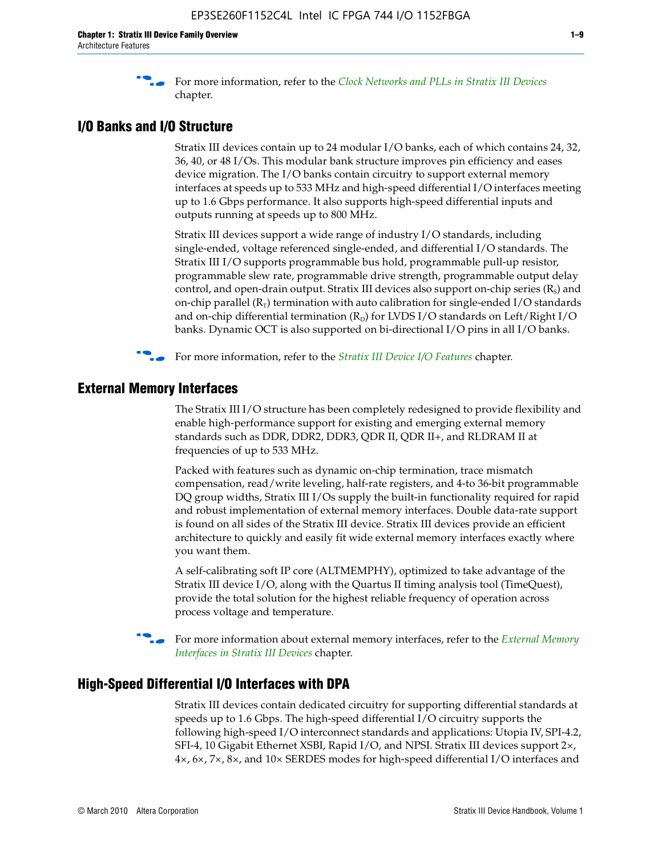f For more information, refer to the *[Clock Networks and PLLs in Stratix III Devices](http://www.altera.com/literature/hb/stx3/stx3_siii51006.pdf)* chapter.

#### **I/O Banks and I/O Structure**

Stratix III devices contain up to 24 modular I/O banks, each of which contains 24, 32, 36, 40, or 48 I/Os. This modular bank structure improves pin efficiency and eases device migration. The I/O banks contain circuitry to support external memory interfaces at speeds up to 533 MHz and high-speed differential I/O interfaces meeting up to 1.6 Gbps performance. It also supports high-speed differential inputs and outputs running at speeds up to 800 MHz.

Stratix III devices support a wide range of industry I/O standards, including single-ended, voltage referenced single-ended, and differential I/O standards. The Stratix III I/O supports programmable bus hold, programmable pull-up resistor, programmable slew rate, programmable drive strength, programmable output delay control, and open-drain output. Stratix III devices also support on-chip series  $(R<sub>s</sub>)$  and on-chip parallel  $(R_T)$  termination with auto calibration for single-ended I/O standards and on-chip differential termination  $(R_D)$  for LVDS I/O standards on Left/Right I/O banks. Dynamic OCT is also supported on bi-directional I/O pins in all I/O banks.

**For more information, refer to the** *[Stratix III Device I/O Features](http://www.altera.com/literature/hb/stx3/stx3_siii51007.pdf)* **chapter.** 

## **External Memory Interfaces**

The Stratix III I/O structure has been completely redesigned to provide flexibility and enable high-performance support for existing and emerging external memory standards such as DDR, DDR2, DDR3, QDR II, QDR II+, and RLDRAM II at frequencies of up to 533 MHz.

Packed with features such as dynamic on-chip termination, trace mismatch compensation, read/write leveling, half-rate registers, and 4-to 36-bit programmable DQ group widths, Stratix III I/Os supply the built-in functionality required for rapid and robust implementation of external memory interfaces. Double data-rate support is found on all sides of the Stratix III device. Stratix III devices provide an efficient architecture to quickly and easily fit wide external memory interfaces exactly where you want them.

A self-calibrating soft IP core (ALTMEMPHY), optimized to take advantage of the Stratix III device I/O, along with the Quartus II timing analysis tool (TimeQuest), provide the total solution for the highest reliable frequency of operation across process voltage and temperature.

f For more information about external memory interfaces, refer to the *[External Memory](http://www.altera.com/literature/hb/stx3/stx3_siii51008.pdf)  [Interfaces in Stratix III Devices](http://www.altera.com/literature/hb/stx3/stx3_siii51008.pdf)* chapter.

#### **High-Speed Differential I/O Interfaces with DPA**

Stratix III devices contain dedicated circuitry for supporting differential standards at speeds up to 1.6 Gbps. The high-speed differential I/O circuitry supports the following high-speed I/O interconnect standards and applications: Utopia IV, SPI-4.2, SFI-4, 10 Gigabit Ethernet XSBI, Rapid I/O, and NPSI. Stratix III devices support 2×, 4×, 6×, 7×, 8×, and 10× SERDES modes for high-speed differential I/O interfaces and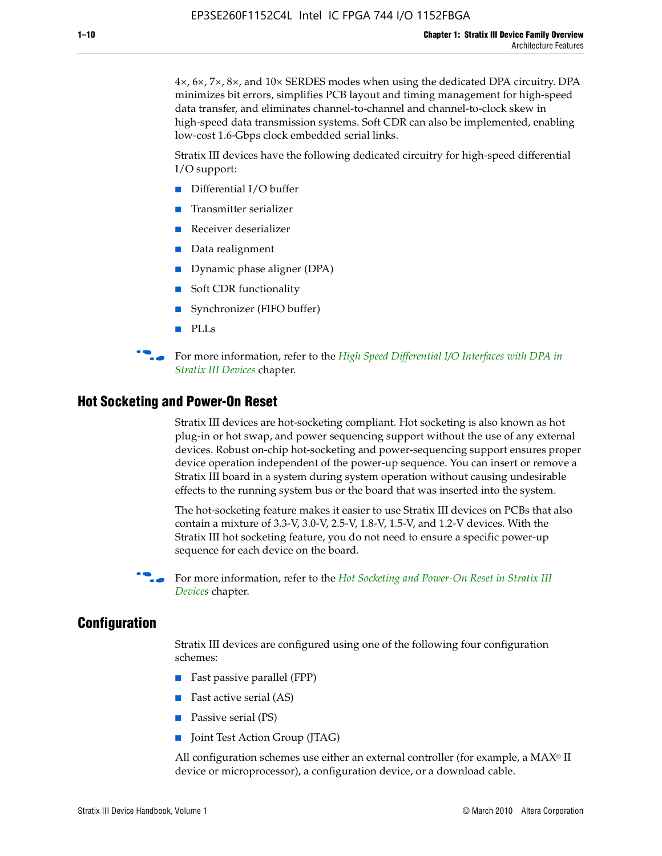4×, 6×, 7×, 8×, and 10× SERDES modes when using the dedicated DPA circuitry. DPA minimizes bit errors, simplifies PCB layout and timing management for high-speed data transfer, and eliminates channel-to-channel and channel-to-clock skew in high-speed data transmission systems. Soft CDR can also be implemented, enabling low-cost 1.6-Gbps clock embedded serial links.

Stratix III devices have the following dedicated circuitry for high-speed differential I/O support:

- Differential I/O buffer
- Transmitter serializer
- Receiver deserializer
- Data realignment
- Dynamic phase aligner (DPA)
- Soft CDR functionality
- Synchronizer (FIFO buffer)
- PLLs

**for more information, refer to the** *High Speed Differential I/O Interfaces with DPA in [Stratix III Devices](http://www.altera.com/literature/hb/stx3/stx3_siii51009.pdf)* chapter.

#### **Hot Socketing and Power-On Reset**

Stratix III devices are hot-socketing compliant. Hot socketing is also known as hot plug-in or hot swap, and power sequencing support without the use of any external devices. Robust on-chip hot-socketing and power-sequencing support ensures proper device operation independent of the power-up sequence. You can insert or remove a Stratix III board in a system during system operation without causing undesirable effects to the running system bus or the board that was inserted into the system.

The hot-socketing feature makes it easier to use Stratix III devices on PCBs that also contain a mixture of 3.3-V, 3.0-V, 2.5-V, 1.8-V, 1.5-V, and 1.2-V devices. With the Stratix III hot socketing feature, you do not need to ensure a specific power-up sequence for each device on the board.

f For more information, refer to the *[Hot Socketing and Power-On Reset in Stratix III](http://www.altera.com/literature/hb/stx3/stx3_siii51010.pdf)  [Device](http://www.altera.com/literature/hb/stx3/stx3_siii51010.pdf)s* chapter.

#### **Configuration**

Stratix III devices are configured using one of the following four configuration schemes:

- Fast passive parallel (FPP)
- Fast active serial (AS)
- Passive serial (PS)
- Joint Test Action Group (JTAG)

All configuration schemes use either an external controller (for example, a  $MAX<sup>®</sup>$  II device or microprocessor), a configuration device, or a download cable.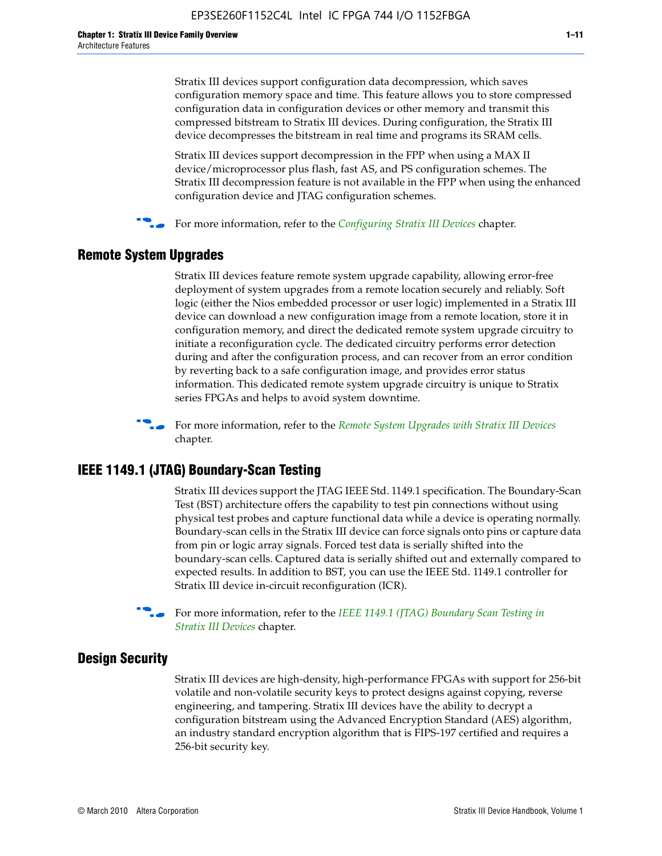Stratix III devices support configuration data decompression, which saves configuration memory space and time. This feature allows you to store compressed configuration data in configuration devices or other memory and transmit this compressed bitstream to Stratix III devices. During configuration, the Stratix III device decompresses the bitstream in real time and programs its SRAM cells.

Stratix III devices support decompression in the FPP when using a MAX II device/microprocessor plus flash, fast AS, and PS configuration schemes. The Stratix III decompression feature is not available in the FPP when using the enhanced configuration device and JTAG configuration schemes.

For more information, refer to the *[Configuring Stratix III Devices](http://www.altera.com/literature/hb/stx3/stx3_siii51011.pdf)* chapter.

## **Remote System Upgrades**

Stratix III devices feature remote system upgrade capability, allowing error-free deployment of system upgrades from a remote location securely and reliably. Soft logic (either the Nios embedded processor or user logic) implemented in a Stratix III device can download a new configuration image from a remote location, store it in configuration memory, and direct the dedicated remote system upgrade circuitry to initiate a reconfiguration cycle. The dedicated circuitry performs error detection during and after the configuration process, and can recover from an error condition by reverting back to a safe configuration image, and provides error status information. This dedicated remote system upgrade circuitry is unique to Stratix series FPGAs and helps to avoid system downtime.



**For more information, refer to the** *[Remote System Upgrades with Stratix III Devices](http://www.altera.com/literature/hb/stx3/stx3_siii51012.pdf)* chapter.

## **IEEE 1149.1 (JTAG) Boundary-Scan Testing**

Stratix III devices support the JTAG IEEE Std. 1149.1 specification. The Boundary-Scan Test (BST) architecture offers the capability to test pin connections without using physical test probes and capture functional data while a device is operating normally. Boundary-scan cells in the Stratix III device can force signals onto pins or capture data from pin or logic array signals. Forced test data is serially shifted into the boundary-scan cells. Captured data is serially shifted out and externally compared to expected results. In addition to BST, you can use the IEEE Std. 1149.1 controller for Stratix III device in-circuit reconfiguration (ICR).

For more information, refer to the *IEEE 1149.1 (JTAG) Boundary Scan Testing in [Stratix III Devices](http://www.altera.com/literature/hb/stx3/stx3_siii51013.pdf)* chapter.

## **Design Security**

Stratix III devices are high-density, high-performance FPGAs with support for 256-bit volatile and non-volatile security keys to protect designs against copying, reverse engineering, and tampering. Stratix III devices have the ability to decrypt a configuration bitstream using the Advanced Encryption Standard (AES) algorithm, an industry standard encryption algorithm that is FIPS-197 certified and requires a 256-bit security key.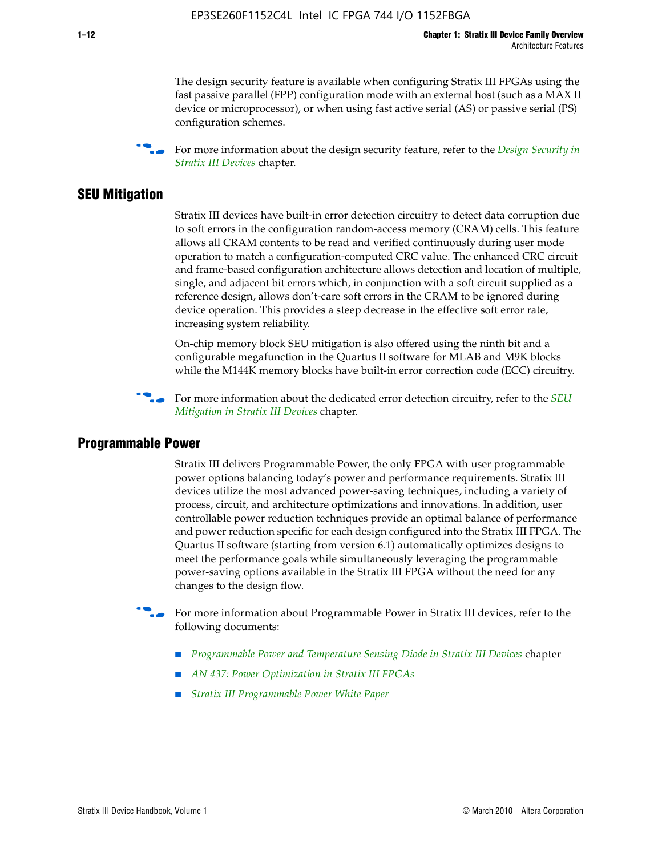The design security feature is available when configuring Stratix III FPGAs using the fast passive parallel (FPP) configuration mode with an external host (such as a MAX II device or microprocessor), or when using fast active serial (AS) or passive serial (PS) configuration schemes.

f For more information about the design security feature, refer to the *[Design Security in](http://www.altera.com/literature/hb/stx3/stx3_siii51014.pdf)  [Stratix III Devices](http://www.altera.com/literature/hb/stx3/stx3_siii51014.pdf)* chapter.

#### **SEU Mitigation**

Stratix III devices have built-in error detection circuitry to detect data corruption due to soft errors in the configuration random-access memory (CRAM) cells. This feature allows all CRAM contents to be read and verified continuously during user mode operation to match a configuration-computed CRC value. The enhanced CRC circuit and frame-based configuration architecture allows detection and location of multiple, single, and adjacent bit errors which, in conjunction with a soft circuit supplied as a reference design, allows don't-care soft errors in the CRAM to be ignored during device operation. This provides a steep decrease in the effective soft error rate, increasing system reliability.

On-chip memory block SEU mitigation is also offered using the ninth bit and a configurable megafunction in the Quartus II software for MLAB and M9K blocks while the M144K memory blocks have built-in error correction code (ECC) circuitry.

For more information about the dedicated error detection circuitry, refer to the *SEU [Mitigation in Stratix III Devices](http://www.altera.com/literature/hb/stx3/stx3_siii51015.pdf)* chapter.

#### **Programmable Power**

Stratix III delivers Programmable Power, the only FPGA with user programmable power options balancing today's power and performance requirements. Stratix III devices utilize the most advanced power-saving techniques, including a variety of process, circuit, and architecture optimizations and innovations. In addition, user controllable power reduction techniques provide an optimal balance of performance and power reduction specific for each design configured into the Stratix III FPGA. The Quartus II software (starting from version 6.1) automatically optimizes designs to meet the performance goals while simultaneously leveraging the programmable power-saving options available in the Stratix III FPGA without the need for any changes to the design flow.

For more information about Programmable Power in Stratix III devices, refer to the following documents:

- *[Programmable Power and Temperature Sensing Diode in Stratix III Devices](http://www.altera.com/literature/hb/stx3/stx3_siii51016.pdf)* chapter
- *[AN 437: Power Optimization in Stratix III FPGAs](http://www.altera.com/literature/an/AN437.pdf)*
- *[Stratix III Programmable Power White Paper](http://www.altera.com/literature/wp/wp-01006.pdf)*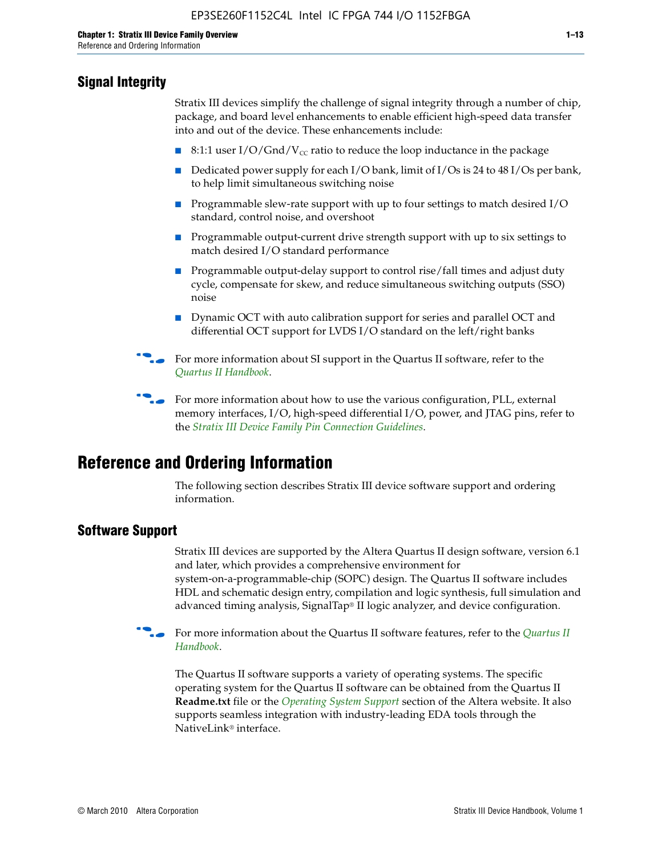# **Signal Integrity**

Stratix III devices simplify the challenge of signal integrity through a number of chip, package, and board level enhancements to enable efficient high-speed data transfer into and out of the device. These enhancements include:

- 8:1:1 user I/O/Gnd/V<sub>cc</sub> ratio to reduce the loop inductance in the package
- Dedicated power supply for each I/O bank, limit of I/Os is 24 to 48 I/Os per bank, to help limit simultaneous switching noise
- Programmable slew-rate support with up to four settings to match desired I/O standard, control noise, and overshoot
- Programmable output-current drive strength support with up to six settings to match desired I/O standard performance
- Programmable output-delay support to control rise/fall times and adjust duty cycle, compensate for skew, and reduce simultaneous switching outputs (SSO) noise
- Dynamic OCT with auto calibration support for series and parallel OCT and differential OCT support for LVDS I/O standard on the left/right banks
- For mor[e](http://www.altera.com/literature/hb/qts/quartusii_handbook.pdf) information about SI support in the Quartus II software, refer to the *[Quartus II Handbook](http://www.altera.com/literature/hb/qts/quartusii_handbook.pdf)*.

For more information about how to use the various configuration, PLL, external memory interfaces, I/O, high-speed differential I/O, power, and JTAG pins, refer to the *[Stratix III Device Family Pin Connection Guidelines](http://www.altera.com/literature/dp/stx3/PCG-01004.pdf)*.

# **Reference and Ordering Information**

The following section describes Stratix III device software support and ordering information.

## **Software Support**

Stratix III devices are supported by the Altera Quartus II design software, version 6.1 and later, which provides a comprehensive environment for system-on-a-programmable-chip (SOPC) design. The Quartus II software includes HDL and schematic design entry, compilation and logic synthesis, full simulation and advanced timing analysis, SignalTap® II logic analyzer, and device configuration.

**For more information about the [Quartus II](http://www.altera.com/literature/hb/qts/quartusii_handbook.pdf) software features, refer to the** *Quartus II* **<b>Fig. 7** *[Handbook](http://www.altera.com/literature/hb/qts/quartusii_handbook.pdf)*.

The Quartus II software supports a variety of operating systems. The specific operating system for the Quartus II software can be obtained from the Quartus II **Readme.txt** file or the *[Operating System Support](http://www.altera.com/support/software/os_support/oss-index.html)* section of the Altera website. It also supports seamless integration with industry-leading EDA tools through the NativeLink® interface.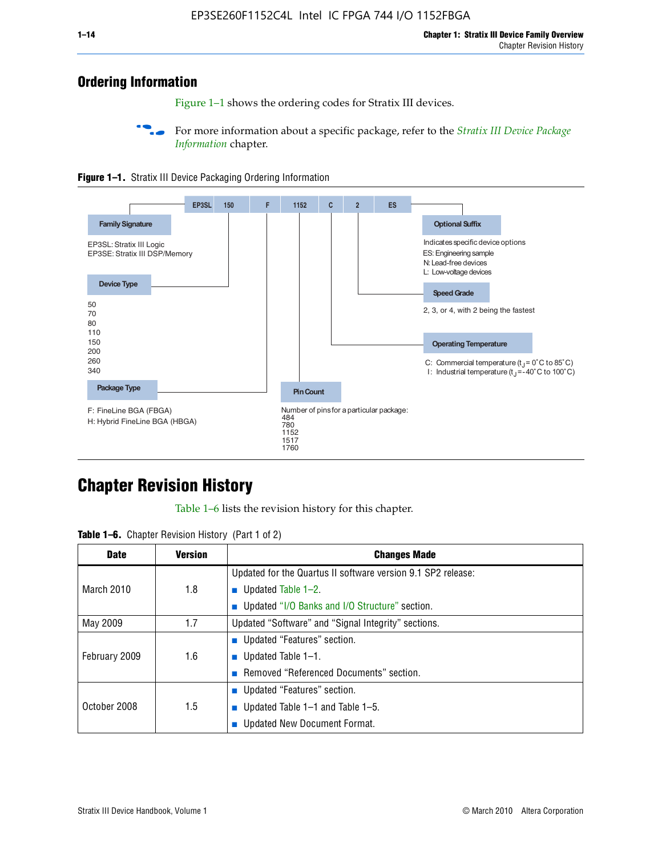# **Ordering Information**

Figure 1–1 shows the ordering codes for Stratix III devices.

For more information about a specific package, refer to the *Stratix III Device Package [Information](http://www.altera.com/literature/hb/stx3/stx3_siii51017.pdf)* chapter.





# **[C](http://www.altera.com/literature/hb/stx3/stx3_siii51012.pdf)hapter Revision History**

Table 1–6 lists the revision history for this chapter.

| <b>Table 1–6.</b> Chapter Revision History (Part 1 of 2) |  |  |  |  |  |
|----------------------------------------------------------|--|--|--|--|--|
|----------------------------------------------------------|--|--|--|--|--|

| <b>Date</b>       | <b>Version</b> | <b>Changes Made</b>                                          |
|-------------------|----------------|--------------------------------------------------------------|
|                   |                | Updated for the Quartus II software version 9.1 SP2 release: |
| <b>March 2010</b> | 1.8            | <b>u</b> Updated Table $1-2$ .                               |
|                   |                | ■ Updated "I/O Banks and I/O Structure" section.             |
| May 2009          | 1.7            | Updated "Software" and "Signal Integrity" sections.          |
|                   |                | Updated "Features" section.                                  |
| February 2009     | 1.6            | <b>u</b> Updated Table $1-1$ .                               |
|                   |                | Removed "Referenced Documents" section.                      |
|                   |                | ■ Updated "Features" section.                                |
| October 2008      | 1.5            | ■ Updated Table 1–1 and Table 1–5.                           |
|                   |                | <b>Updated New Document Format.</b>                          |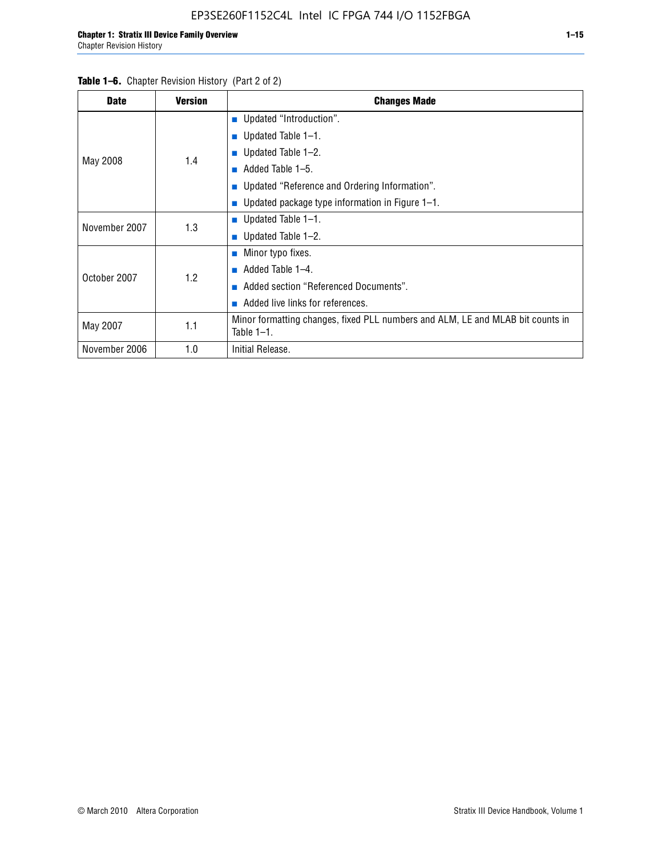| <b>Table 1–6.</b> Chapter Revision History (Part 2 of 2) |                |                                                                                                 |
|----------------------------------------------------------|----------------|-------------------------------------------------------------------------------------------------|
| <b>Date</b>                                              | <b>Version</b> | <b>Changes Made</b>                                                                             |
|                                                          |                | <b>Updated "Introduction".</b>                                                                  |
|                                                          |                | ■ Updated Table $1-1$ .                                                                         |
|                                                          |                | ■ Updated Table $1-2$ .                                                                         |
| May 2008                                                 | 1.4            | Added Table 1–5.<br>m.                                                                          |
|                                                          |                | ■ Updated "Reference and Ordering Information".                                                 |
|                                                          |                | ■ Updated package type information in Figure $1-1$ .                                            |
| November 2007                                            |                | ■ Updated Table $1-1$ .                                                                         |
|                                                          | 1.3            | ■ Updated Table $1-2$ .                                                                         |
|                                                          |                | $\blacksquare$ Minor typo fixes.                                                                |
| October 2007                                             |                | $\blacksquare$ Added Table 1-4.                                                                 |
|                                                          | 1.2            | Added section "Referenced Documents".                                                           |
|                                                          |                | Added live links for references.                                                                |
| May 2007                                                 | 1.1            | Minor formatting changes, fixed PLL numbers and ALM, LE and MLAB bit counts in<br>Table $1-1$ . |
| November 2006                                            | 1.0            | Initial Release.                                                                                |